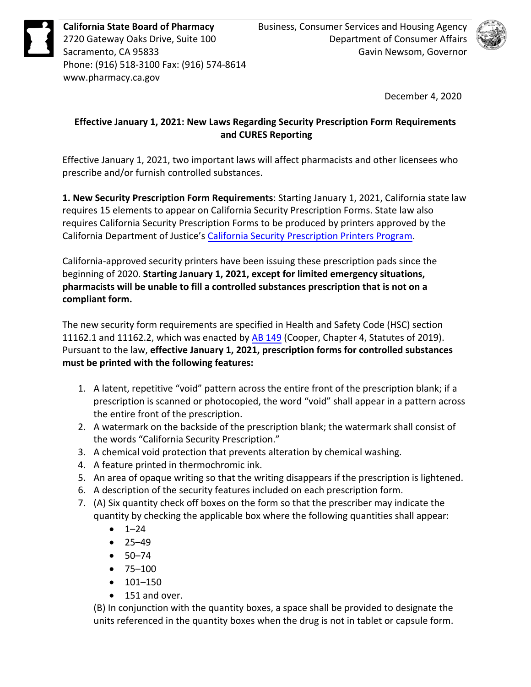

Phone: (916) 518-3100 Fax: (916) 574-8614 <www.pharmacy.ca.gov>



December 4, 2020

## **Effective January 1, 2021: New Laws Regarding Security Prescription Form Requirements and CURES Reporting**

Effective January 1, 2021, two important laws will affect pharmacists and other licensees who prescribe and/or furnish controlled substances.

**1. New Security Prescription Form Requirements**: Starting January 1, 2021, [California state](https://leginfo.legislature.ca.gov/faces/codes_displaySection.xhtml?lawCode=HSC§ionNum=11162.1.) law requires 15 elements to appear on California Security Prescription Forms. State law also requires California Security Prescription Forms to be produced by printers approved by the California Department of Justice's [California Security Prescription Printers Program.](https://oag.ca.gov/security-printers)

California-approved security printers have been issuing these prescription pads since the beginning of 2020. **Starting January 1, 2021, except for limited emergency situations, pharmacists will be unable to fill a controlled substances prescription that is not on a compliant form.** 

The new security form requirements are specified [in Health and Safety Code \(HSC\) section](https://leginfo.legislature.ca.gov/faces/codes_displaySection.xhtml?lawCode=HSC§ionNum=11162.1.)  [11162.1](https://leginfo.legislature.ca.gov/faces/codes_displaySection.xhtml?lawCode=HSC§ionNum=11162.1.) and 11162.2, which was enacted by [AB 149](http://leginfo.legislature.ca.gov/faces/billNavClient.xhtml?bill_id=201920200AB149) (Cooper, Chapter 4, Statutes of 2019). Pursuant to the law, **effective January 1, 2021, prescription forms for controlled substances must be printed with the following features:** 

- 1. A latent, repetitive "void" pattern across the entire front of the prescription blank; if a prescription is scanned or photocopied, the word "void" shall appear in a pattern across the entire front of the prescription.
- 2. A watermark on the backside of the prescription blank; the watermark shall consist of the words "California Security Prescription."
- 3. A chemical void protection that prevents alteration by chemical washing.
- 4. A feature printed in thermochromic ink.
- 5. An area of opaque writing so that the writing disappears if the prescription is lightened.
- 6. A description of the security features included on each prescription form.
- 7. (A) Six quantity check off boxes on the form so that the prescriber may indicate the quantity by checking the applicable box where the following quantities shall appear:
	- $\bullet$  1–24
	- 25–49
	- 50–74
	- 75–100
	- 101–150
	- 151 and over.

 (B) In conjunction with the quantity boxes, a space shall be provided to designate the units referenced in the quantity boxes when the drug is not in tablet or capsule form.